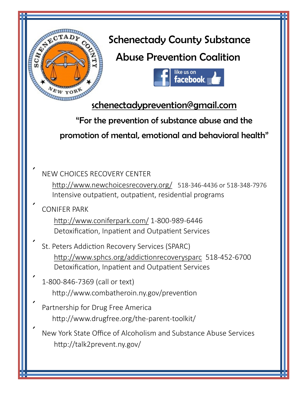

New York State Office of Alcoholism and Substance Abuse Services http://talk2prevent.ny.gov/